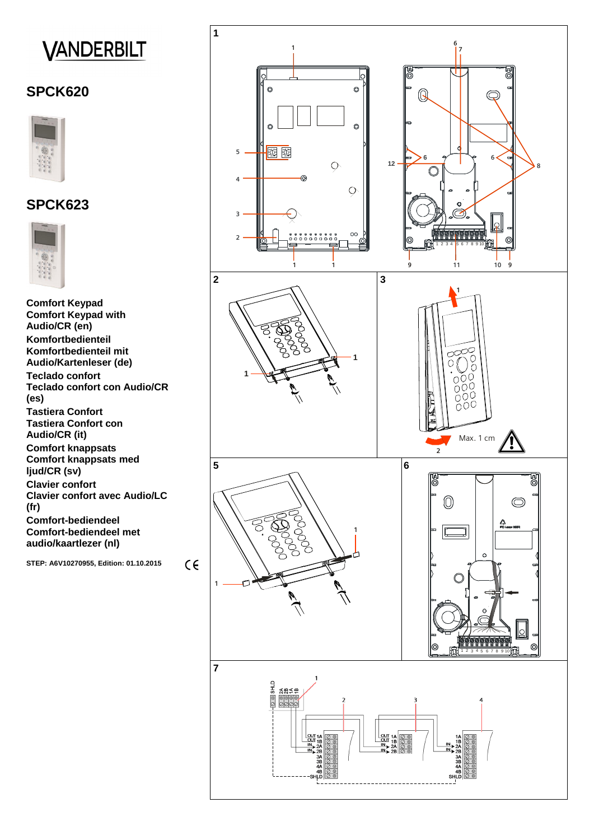# **VANDERBILT**

# **SPCK620**



# **SPCK623**



**Comfort Keypad Comfort Keypad with Audio/CR (en) Komfortbedienteil Komfortbedienteil mit Audio/Kartenleser (de) Teclado confort Teclado confort con Audio/CR (es) Tastiera Confort Tastiera Confort con Audio/CR (it) Comfort knappsats Comfort knappsats med ljud/CR (sv) Clavier confort Clavier confort avec Audio/LC (fr) Comfort-bediendeel Comfort-bediendeel met audio/kaartlezer (nl)**

**STEP: A6V10270955, Edition: 01.10.2015** 

 $C \in$ 



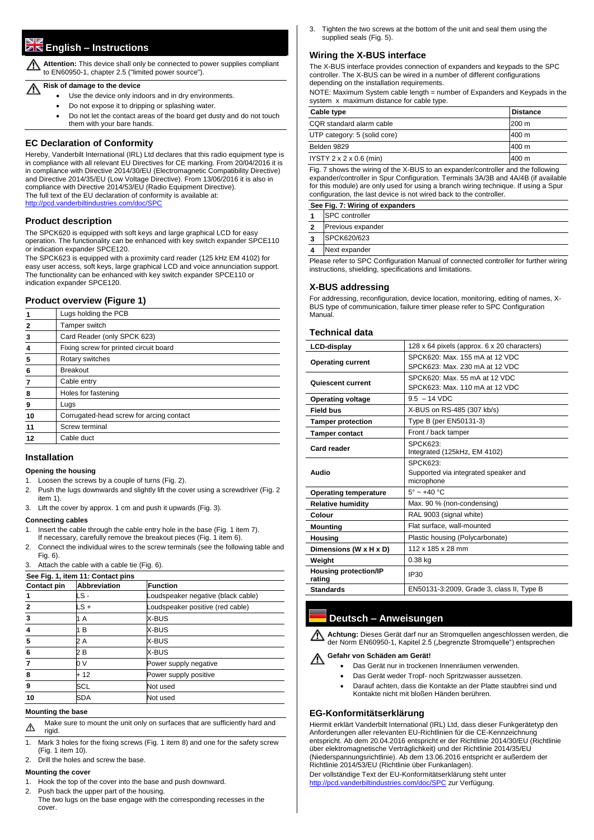# **English – Instructions**

**Attention:** This device shall only be connected to power supplies compliant to EN60950-1, chapter 2.5 ("limited power source").

#### **Risk of damage to the device**

- Use the device only indoors and in dry environments.
- Do not expose it to dripping or splashing water.
- Do not let the contact areas of the board get dusty and do not touch them with your bare hands.

# **EC Declaration of Conformity**

Hereby, Vanderbilt International (IRL) Ltd declares that this radio equipment type is in compliance with all relevant EU Directives for CE marking. From 20/04/2016 it is in compliance with Directive 2014/30/EU (Electromagnetic Compatibility Directive) and Directive 2014/35/EU (Low Voltage Directive). From 13/06/2016 it is also in compliance with Directive 2014/53/EU (Radio Equipment Directive). The full text of the EU declaration of conformity is available at: <http://pcd.vanderbiltindustries.com/doc/SPC>

## **Product description**

The SPCK620 is equipped with soft keys and large graphical LCD for easy operation. The functionality can be enhanced with key switch expander SPCE110 or indication expander SPCE120.

The SPCK623 is equipped with a proximity card reader (125 kHz EM 4102) for easy user access, soft keys, large graphical LCD and voice annunciation support. The functionality can be enhanced with key switch expander SPCE110 or indication expander SPCE120.

# **Product overview (Figure 1)**

| Lugs holding the PCB                     |
|------------------------------------------|
|                                          |
| Tamper switch                            |
| Card Reader (only SPCK 623)              |
| Fixing screw for printed circuit board   |
| Rotary switches                          |
|                                          |
|                                          |
| Holes for fastening                      |
|                                          |
| Corrugated-head screw for arcing contact |
| Screw terminal                           |
|                                          |
|                                          |

#### **Installation**

#### **Opening the housing**

- 1. Loosen the screws by a couple of turns (Fig. 2).
- 2. Push the lugs downwards and slightly lift the cover using a screwdriver (Fig. 2 item 1).
- 3. Lift the cover by approx. 1 cm and push it upwards (Fig. 3).

#### **Connecting cables**

- **1** | SPC controller
- **2** Previous expander
- **3** SPCK620/623
- **4** Next expander

- 1. Insert the cable through the cable entry hole in the base (Fig. 1 item 7). If necessary, carefully remove the breakout pieces (Fig. 1 item 6).
- 2. Connect the individual wires to the screw terminals (see the following table and Fig. 6).
- 3. Attach the cable with a cable tie (Fig. 6).

| See Fig. 1, item 11: Contact pins |                     |                                    |
|-----------------------------------|---------------------|------------------------------------|
| <b>Contact pin</b>                | <b>Abbreviation</b> | <b>Function</b>                    |
|                                   | LS -                | Loudspeaker negative (black cable) |
|                                   | LS +                | Loudspeaker positive (red cable)   |
|                                   | 1 A                 | X-BUS                              |
|                                   | 1 B                 | X-BUS                              |
| 5                                 | 2 A                 | X-BUS                              |
| 6                                 | 2 B                 | X-BUS                              |
|                                   | 0 V                 | Power supply negative              |
| 8                                 | $+12$               | Power supply positive              |
| 9                                 | SCL                 | Not used                           |
| 10                                | ISDA                | Not used                           |

#### **Mounting the base**

 $\Delta$ 

Make sure to mount the unit only on surfaces that are sufficiently hard and rigid.

- 1. Mark 3 holes for the fixing screws (Fig. 1 item 8) and one for the safety screw (Fig. 1 item 10).
- 2. Drill the holes and screw the base.

#### **Mounting the cover**

- 1. Hook the top of the cover into the base and push downward.
- 2. Push back the upper part of the housing.

The two lugs on the base engage with the corresponding recesses in the cover.

 $\sqrt{1}$ der Norm EN60950-1, Kapitel 2.5 ("begrenzte Stromquelle") entsprechen

3. Tighten the two screws at the bottom of the unit and seal them using the supplied seals (Fig. 5).

## **Wiring the X-BUS interface**

The X-BUS interface provides connection of expanders and keypads to the SPC controller. The X-BUS can be wired in a number of different configurations depending on the installation requirements.

NOTE: Maximum System cable length = number of Expanders and Keypads in the system x maximum distance for cable type.

| Cable type                          | <b>Distance</b> |
|-------------------------------------|-----------------|
| CQR standard alarm cable            | 1200 m          |
| UTP category: 5 (solid core)        | 1400 m          |
| Belden 9829                         | 1400 m          |
| IYSTY $2 \times 2 \times 0.6$ (min) | 400 m           |

Fig. 7 shows the wiring of the X-BUS to an expander/controller and the following expander/controller in Spur Configuration. Terminals 3A/3B and 4A/4B (if available for this module) are only used for using a branch wiring technique. If using a Spur configuration, the last device is not wired back to the controller.

#### **See Fig. 7: Wiring of expanders**

Please refer to SPC Configuration Manual of connected controller for further wiring instructions, shielding, specifications and limitations.

#### **X-BUS addressing**

For addressing, reconfiguration, device location, monitoring, editing of names, X-BUS type of communication, failure timer please refer to SPC Configuration Manual.

#### **Technical data**

| <b>LCD-display</b>                     | 128 x 64 pixels (approx. 6 x 20 characters)                           |
|----------------------------------------|-----------------------------------------------------------------------|
| <b>Operating current</b>               | SPCK620: Max. 155 mA at 12 VDC<br>SPCK623: Max. 230 mA at 12 VDC      |
| <b>Quiescent current</b>               | SPCK620: Max. 55 mA at 12 VDC<br>SPCK623: Max. 110 mA at 12 VDC       |
| <b>Operating voltage</b>               | $9.5 - 14$ VDC                                                        |
| <b>Field bus</b>                       | X-BUS on RS-485 (307 kb/s)                                            |
| <b>Tamper protection</b>               | Type B (per EN50131-3)                                                |
| <b>Tamper contact</b>                  | Front / back tamper                                                   |
| <b>Card reader</b>                     | SPCK623:<br>Integrated (125kHz, EM 4102)                              |
| <b>Audio</b>                           | <b>SPCK623:</b><br>Supported via integrated speaker and<br>microphone |
| <b>Operating temperature</b>           | $5^\circ \sim +40$ °C                                                 |
| <b>Relative humidity</b>               | Max. 90 % (non-condensing)                                            |
| Colour                                 | RAL 9003 (signal white)                                               |
| <b>Mounting</b>                        | Flat surface, wall-mounted                                            |
| <b>Housing</b>                         | Plastic housing (Polycarbonate)                                       |
| Dimensions (W x H x D)                 | 112 x 185 x 28 mm                                                     |
| Weight                                 | $0.38$ kg                                                             |
| <b>Housing protection/IP</b><br>rating | <b>IP30</b>                                                           |
| <b>Standards</b>                       | EN50131-3:2009, Grade 3, class II, Type B                             |

# **Deutsch – Anweisungen**

**Achtung:** Dieses Gerät darf nur an Stromquellen angeschlossen werden, die

# **Gefahr von Schäden am Gerät!**

- Das Gerät nur in trockenen Innenräumen verwenden.
- Das Gerät weder Tropf- noch Spritzwasser aussetzen.
- Darauf achten, dass die Kontakte an der Platte staubfrei sind und Kontakte nicht mit bloßen Händen berühren.

# **EG-Konformitätserklärung**

Hiermit erklärt Vanderbilt International (IRL) Ltd, dass dieser Funkgerätetyp den Anforderungen aller relevanten EU-Richtlinien für die CE-Kennzeichnung entspricht. Ab dem 20.04.2016 entspricht er der Richtlinie 2014/30/EU (Richtlinie über elektromagnetische Verträglichkeit) und der Richtlinie 2014/35/EU (Niederspannungsrichtlinie). Ab dem 13.06.2016 entspricht er außerdem der Richtlinie 2014/53/EU (Richtlinie über Funkanlagen). Der vollständige Text der EU-Konformitätserklärung steht unter

<http://pcd.vanderbiltindustries.com/doc/SPC> zur Verfügung.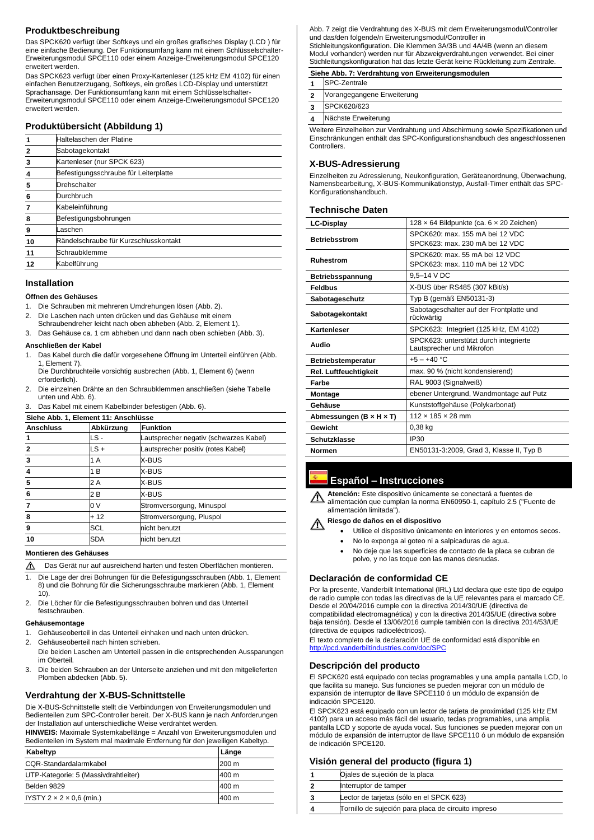# **Produktbeschreibung**

Das SPCK620 verfügt über Softkeys und ein großes grafisches Display (LCD ) für eine einfache Bedienung. Der Funktionsumfang kann mit einem Schlüsselschalter-Erweiterungsmodul SPCE110 oder einem Anzeige-Erweiterungsmodul SPCE120 erweitert werden.

Das SPCK623 verfügt über einen Proxy-Kartenleser (125 kHz EM 4102) für einen einfachen Benutzerzugang, Softkeys, ein großes LCD-Display und unterstützt Sprachansage. Der Funktionsumfang kann mit einem Schlüsselschalter-Erweiterungsmodul SPCE110 oder einem Anzeige-Erweiterungsmodul SPCE120 erweitert werden.

# **Produktübersicht (Abbildung 1)**

| Haltelaschen der Platine              |
|---------------------------------------|
| Sabotagekontakt                       |
| Kartenleser (nur SPCK 623)            |
| Befestigungsschraube für Leiterplatte |
| <b>Drehschalter</b>                   |
| Durchbruch                            |
| Kabeleinführung                       |
| Befestigungsbohrungen                 |
| Laschen                               |
| Rändelschraube für Kurzschlusskontakt |
| Schraubklemme                         |
| Kabelführung                          |
|                                       |

# **Siehe Abb. 1, Element 11: Anschlüsse Anschluss Abkürzung Funktion 1 LS** - **Lautsprecher negativ (schwarzes Kabel) 2** LS + Lautsprecher positiv (rotes Kabel) **3 1** A **X-BUS 4** 1 B X-BUS **5** 2 A X-BUS **6** 2 B X-BUS **7 b** 0 V Stromversorgung, Minuspol **8** + 12 Stromversorgung, Pluspol **9** SCL nicht benutzt 10 **SDA** nicht benutzt

# **Installation**

#### **Öffnen des Gehäuses**

 $\Delta$ Das Gerät nur auf ausreichend harten und festen Oberflächen montieren.

- 1. Die Schrauben mit mehreren Umdrehungen lösen (Abb. 2).
- 2. Die Laschen nach unten drücken und das Gehäuse mit einem Schraubendreher leicht nach oben abheben (Abb. 2, Element 1).
- 3. Das Gehäuse ca. 1 cm abheben und dann nach oben schieben (Abb. 3).

#### **Anschließen der Kabel**

1. Das Kabel durch die dafür vorgesehene Öffnung im Unterteil einführen (Abb. 1, Element 7).

Die Durchbruchteile vorsichtig ausbrechen (Abb. 1, Element 6) (wenn erforderlich).

- 2. Die einzelnen Drähte an den Schraubklemmen anschließen (siehe Tabelle unten und Abb. 6).
- 3. Das Kabel mit einem Kabelbinder befestigen (Abb. 6).

#### **Montieren des Gehäuses**

- 1. Die Lage der drei Bohrungen für die Befestigungsschrauben (Abb. 1, Element 8) und die Bohrung für die Sicherungsschraube markieren (Abb. 1, Element 10).
- 2. Die Löcher für die Befestigungsschrauben bohren und das Unterteil festschrauben.

#### **Gehäusemontage**

1. Gehäuseoberteil in das Unterteil einhaken und nach unten drücken.

- 
- 2. Gehäuseoberteil nach hinten schieben.

Die beiden Laschen am Unterteil passen in die entsprechenden Aussparungen im Oberteil.

3. Die beiden Schrauben an der Unterseite anziehen und mit den mitgelieferten Plomben abdecken (Abb. 5).

#### **Riesgo de daños en el dispositivo**  $\sqrt{N}$

# **Verdrahtung der X-BUS-Schnittstelle**

Die X-BUS-Schnittstelle stellt die Verbindungen von Erweiterungsmodulen und Bedienteilen zum SPC-Controller bereit. Der X-BUS kann je nach Anforderungen der Installation auf unterschiedliche Weise verdrahtet werden.

**HINWEIS:** Maximale Systemkabellänge = Anzahl von Erweiterungsmodulen und Bedienteilen im System mal maximale Entfernung für den jeweiligen Kabeltyp.

| Kabeltyp                             | Länge |
|--------------------------------------|-------|
| CQR-Standardalarmkabel               | 200 m |
| UTP-Kategorie: 5 (Massivdrahtleiter) | 400 m |
| Belden 9829                          | 400 m |
| IYSTY $2 \times 2 \times 0.6$ (min.) | 400 m |

Abb. 7 zeigt die Verdrahtung des X-BUS mit dem Erweiterungsmodul/Controller und das/den folgende/n Erweiterungsmodul/Controller in Stichleitungskonfiguration. Die Klemmen 3A/3B und 4A/4B (wenn an diesem Modul vorhanden) werden nur für Abzweigverdrahtungen verwendet. Bei einer Stichleitungskonfiguration hat das letzte Gerät keine Rückleitung zum Zentrale.

#### **Siehe Abb. 7: Verdrahtung von Erweiterungsmodulen**

- **1** SPC-Zentrale
- **2** Vorangegangene Erweiterung
- **3** SPCK620/623
- **4** Nächste Erweiterung

Weitere Einzelheiten zur Verdrahtung und Abschirmung sowie Spezifikationen und Einschränkungen enthält das SPC-Konfigurationshandbuch des angeschlossenen Controllers.

# **X-BUS-Adressierung**

Einzelheiten zu Adressierung, Neukonfiguration, Geräteanordnung, Überwachung, Namensbearbeitung, X-BUS-Kommunikationstyp, Ausfall-Timer enthält das SPC-Konfigurationshandbuch.

# **Technische Daten**

| <b>LC-Display</b>                     | 128 x 64 Bildpunkte (ca. 6 x 20 Zeichen)                            |
|---------------------------------------|---------------------------------------------------------------------|
| <b>Betriebsstrom</b>                  | SPCK620: max. 155 mA bei 12 VDC<br>SPCK623: max. 230 mA bei 12 VDC  |
| <b>Ruhestrom</b>                      | SPCK620: max. 55 mA bei 12 VDC<br>SPCK623: max. 110 mA bei 12 VDC   |
| <b>Betriebsspannung</b>               | 9,5-14 V DC                                                         |
| <b>Feldbus</b>                        | X-BUS über RS485 (307 kBit/s)                                       |
| Sabotageschutz                        | Typ B (gemäß EN50131-3)                                             |
| Sabotagekontakt                       | Sabotageschalter auf der Frontplatte und<br>rückwärtig              |
| Kartenleser                           | SPCK623: Integriert (125 kHz, EM 4102)                              |
| Audio                                 | SPCK623: unterstützt durch integrierte<br>Lautsprecher und Mikrofon |
| Betriebstemperatur                    | $+5 - +40$ °C                                                       |
| <b>Rel. Luftfeuchtigkeit</b>          | max. 90 % (nicht kondensierend)                                     |
| Farbe                                 | RAL 9003 (Signalweiß)                                               |
| <b>Montage</b>                        | ebener Untergrund, Wandmontage auf Putz                             |
| Gehäuse                               | Kunststoffgehäuse (Polykarbonat)                                    |
| Abmessungen (B $\times$ H $\times$ T) | $112 \times 185 \times 28$ mm                                       |
| Gewicht                               | $0,38$ kg                                                           |
| <b>Schutzklasse</b>                   | <b>IP30</b>                                                         |
| <b>Normen</b>                         | EN50131-3:2009, Grad 3, Klasse II, Typ B                            |

# **Español – Instrucciones**

**Atención:** Este dispositivo únicamente se conectará a fuentes de  $\sqrt{2}$ alimentación que cumplan la norma EN60950-1, capítulo 2.5 ("Fuente de alimentación limitada").

- Utilice el dispositivo únicamente en interiores y en entornos secos.
- No lo exponga al goteo ni a salpicaduras de agua.
- No deje que las superficies de contacto de la placa se cubran de polvo, y no las toque con las manos desnudas.

# **Declaración de conformidad CE**

Por la presente, Vanderbilt International (IRL) Ltd declara que este tipo de equipo de radio cumple con todas las directivas de la UE relevantes para el marcado CE. Desde el 20/04/2016 cumple con la directiva 2014/30/UE (directiva de compatibilidad electromagnética) y con la directiva 2014/35/UE (directiva sobre baja tensión). Desde el 13/06/2016 cumple también con la directiva 2014/53/UE (directiva de equipos radioeléctricos).

El texto completo de la declaración UE de conformidad está disponible en <http://pcd.vanderbiltindustries.com/doc/SPC>

# **Descripción del producto**

El SPCK620 está equipado con teclas programables y una amplia pantalla LCD, lo que facilita su manejo. Sus funciones se pueden mejorar con un módulo de expansión de interruptor de llave SPCE110 ó un módulo de expansión de indicación SPCE120.

El SPCK623 está equipado con un lector de tarjeta de proximidad (125 kHz EM 4102) para un acceso más fácil del usuario, teclas programables, una amplia pantalla LCD y soporte de ayuda vocal. Sus funciones se pueden mejorar con un módulo de expansión de interruptor de llave SPCE110 ó un módulo de expansión de indicación SPCE120.

# **Visión general del producto (figura 1)**

| Ojales de sujeción de la placa                      |
|-----------------------------------------------------|
| Interruptor de tamper                               |
| Lector de tarjetas (sólo en el SPCK 623)            |
| Tornillo de sujeción para placa de circuito impreso |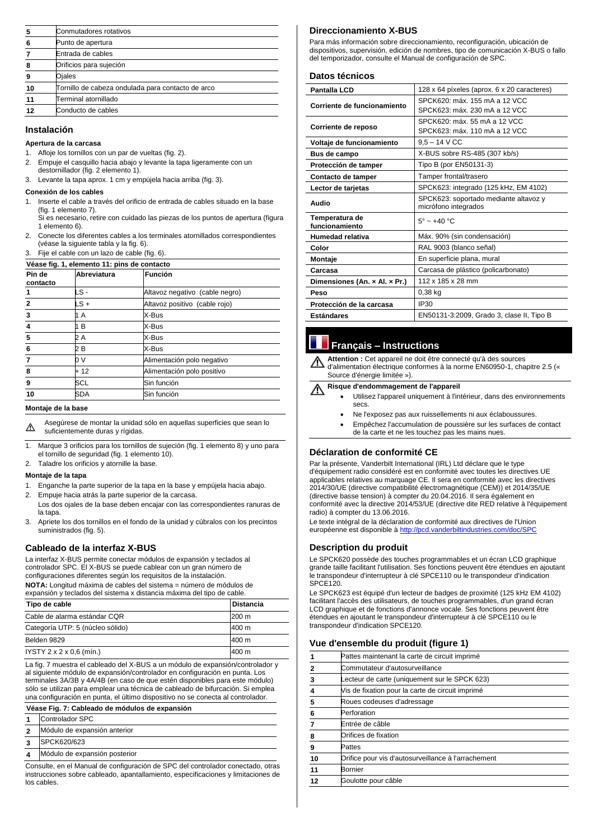| 5  | Conmutadores rotativos                            |
|----|---------------------------------------------------|
| 6  | Punto de apertura                                 |
|    | Entrada de cables                                 |
| 8  | Orificios para sujeción                           |
| 9  | Ojales                                            |
| 10 | Tornillo de cabeza ondulada para contacto de arco |
| 11 | Terminal atornillado                              |
| 12 | Conducto de cables                                |

# **Instalación**

#### **Apertura de la carcasa**

- 1. Afloje los tornillos con un par de vueltas (fig. 2).
- 2. Empuje el casquillo hacia abajo y levante la tapa ligeramente con un destornillador (fig. 2 elemento 1).
- 3. Levante la tapa aprox. 1 cm y empújela hacia arriba (fig. 3).

#### **Conexión de los cables**

1. Inserte el cable a través del orificio de entrada de cables situado en la base (fig. 1 elemento 7). Si es necesario, retire con cuidado las piezas de los puntos de apertura (figura

1 elemento 6).

- 2. Conecte los diferentes cables a los terminales atornillados correspondientes (véase la siguiente tabla y la fig. 6).
- 3. Fije el cable con un lazo de cable (fig. 6).

| Véase fig. 1, elemento 11: pins de contacto |             |                                |
|---------------------------------------------|-------------|--------------------------------|
| Pin de<br>contacto                          | Abreviatura | Función                        |
|                                             | LS -        | Altavoz negativo (cable negro) |
| $\mathbf{2}$                                | LS +        | Altavoz positivo (cable rojo)  |
| 3                                           | 1 A         | X-Bus                          |
| 4                                           | 1 B         | X-Bus                          |
| 5                                           | 2 A         | X-Bus                          |
| 6                                           | 2 B         | X-Bus                          |
|                                             | 0 V         | Alimentación polo negativo     |
| 8                                           | $+12$       | Alimentación polo positivo     |
| 9                                           | SCL         | Sin función                    |
| 10                                          | SDA         | Sin función                    |

#### **Montaje de la base**

Asegúrese de montar la unidad sólo en aquellas superficies que sean lo ⚠ suficientemente duras y rígidas.

- 1. Marque 3 orificios para los tornillos de sujeción (fig. 1 elemento 8) y uno para el tornillo de seguridad (fig. 1 elemento 10).
- 2. Taladre los orificios y atornille la base.

#### **Montaje de la tapa**

- 1. Enganche la parte superior de la tapa en la base y empújela hacia abajo.
- 2. Empuje hacia atrás la parte superior de la carcasa.
- Los dos ojales de la base deben encajar con las correspondientes ranuras de la tapa.
- 3. Apriete los dos tornillos en el fondo de la unidad y cúbralos con los precintos suministrados (fig. 5).

# **Cableado de la interfaz X-BUS**

La interfaz X-BUS permite conectar módulos de expansión y teclados al controlador SPC. El X-BUS se puede cablear con un gran número de configuraciones diferentes según los requisitos de la instalación.

**NOTA:** Longitud máxima de cables del sistema = número de módulos de expansión y teclados del sistema x distancia máxima del tipo de cable.

#### **Risque d'endommagement de l'appareil**  $\bigwedge$

| Tipo de cable                        | <b>Distancia</b> |
|--------------------------------------|------------------|
| Cable de alarma estándar CQR         | 200 m            |
| Categoría UTP: 5 (núcleo sólido)     | 400 m            |
| Belden 9829                          | 400 m            |
| IYSTY $2 \times 2 \times 0.6$ (min.) | 400 m            |

La fig. 7 muestra el cableado del X-BUS a un módulo de expansión/controlador y al siguiente módulo de expansión/controlador en configuración en punta. Los terminales 3A/3B y 4A/4B (en caso de que estén disponibles para este módulo) sólo se utilizan para emplear una técnica de cableado de bifurcación. Si emplea una configuración en punta, el último dispositivo no se conecta al controlador.

Le texte intégral de la déclaration de conformité aux directives de l'Union européenne est disponible à<http://pcd.vanderbiltindustries.com/doc/SPC>

#### **Véase Fig. 7: Cableado de módulos de expansión**

- **1** Controlador SPC
- **2** Módulo de expansión anterior
- **3** SPCK620/623
- **4** Módulo de expansión posterior

Consulte, en el Manual de configuración de SPC del controlador conectado, otras instrucciones sobre cableado, apantallamiento, especificaciones y limitaciones de los cables.

# **Direccionamiento X-BUS**

Para más información sobre direccionamiento, reconfiguración, ubicación de dispositivos, supervisión, edición de nombres, tipo de comunicación X-BUS o fallo del temporizador, consulte el Manual de configuración de SPC.

# **Datos técnicos**

| <b>Pantalla LCD</b>              | 128 x 64 píxeles (aprox. 6 x 20 caracteres) |
|----------------------------------|---------------------------------------------|
| Corriente de funcionamiento      | SPCK620: máx. 155 mA a 12 VCC               |
|                                  | SPCK623: máx. 230 mA a 12 VCC               |
|                                  | SPCK620: máx. 55 mA a 12 VCC                |
| Corriente de reposo              | SPCK623: máx. 110 mA a 12 VCC               |
| Voltaje de funcionamiento        | $9,5 - 14$ V CC                             |
| Bus de campo                     | X-BUS sobre RS-485 (307 kb/s)               |
| Protección de tamper             | Tipo B (por EN50131-3)                      |
| Contacto de tamper               | Tamper frontal/trasero                      |
| Lector de tarjetas               | SPCK623: integrado (125 kHz, EM 4102)       |
| Audio                            | SPCK623: soportado mediante altavoz y       |
|                                  | micrófono integrados                        |
| Temperatura de<br>funcionamiento | $5^\circ \sim +40^\circ \text{C}$           |
| <b>Humedad relativa</b>          | Máx. 90% (sin condensación)                 |
| Color                            | RAL 9003 (blanco señal)                     |
| Montaje                          | En superficie plana, mural                  |
| Carcasa                          | Carcasa de plástico (policarbonato)         |
| Dimensiones (An. x Al. x Pr.)    | 112 x 185 x 28 mm                           |
| Peso                             | $0,38$ kg                                   |
| Protección de la carcasa         | <b>IP30</b>                                 |
| <b>Estándares</b>                | EN50131-3:2009, Grado 3, clase II, Tipo B   |

# **Français – Instructions**

**Attention :** Cet appareil ne doit être connecté qu'à des sources d'alimentation électrique conformes à la norme EN60950-1, chapitre 2.5 (« Source d'énergie limitée »).

- Utilisez l'appareil uniquement à l'intérieur, dans des environnements secs.
- Ne l'exposez pas aux ruissellements ni aux éclaboussures.
- Empêchez l'accumulation de poussière sur les surfaces de contact de la carte et ne les touchez pas les mains nues.

# **Déclaration de conformité CE**

Par la présente, Vanderbilt International (IRL) Ltd déclare que le type d'équipement radio considéré est en conformité avec toutes les directives UE applicables relatives au marquage CE. Il sera en conformité avec les directives 2014/30/UE (directive compatibilité électromagnétique (CEM)) et 2014/35/UE (directive basse tension) à compter du 20.04.2016. Il sera également en conformité avec la directive 2014/53/UE (directive dite RED relative à l'équipement radio) à compter du 13.06.2016.

# **Description du produit**

Le SPCK620 possède des touches programmables et un écran LCD graphique grande taille facilitant l'utilisation. Ses fonctions peuvent être étendues en ajoutant le transpondeur d'interrupteur à clé SPCE110 ou le transpondeur d'indication SPCE120.

Le SPCK623 est équipé d'un lecteur de badges de proximité (125 kHz EM 4102) facilitant l'accès des utilisateurs, de touches programmables, d'un grand écran LCD graphique et de fonctions d'annonce vocale. Ses fonctions peuvent être étendues en ajoutant le transpondeur d'interrupteur à clé SPCE110 ou le transpondeur d'indication SPCE120.

## **Vue d'ensemble du produit (figure 1)**

|    | Pattes maintenant la carte de circuit imprimé       |  |
|----|-----------------------------------------------------|--|
|    | Commutateur d'autosurveillance                      |  |
| 3  | Lecteur de carte (uniquement sur le SPCK 623)       |  |
|    | Vis de fixation pour la carte de circuit imprimé    |  |
| 5  | Roues codeuses d'adressage                          |  |
| 6  | Perforation                                         |  |
|    | Entrée de câble                                     |  |
| 8  | Orifices de fixation                                |  |
| 9  | Pattes                                              |  |
| 10 | Orifice pour vis d'autosurveillance à l'arrachement |  |
| 11 | Bornier                                             |  |
| 12 | Goulotte pour câble                                 |  |
|    |                                                     |  |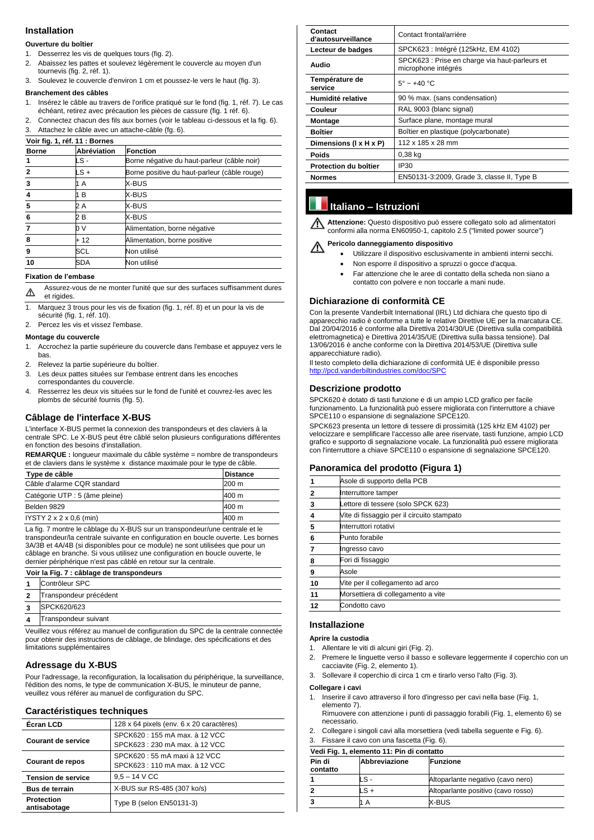# **Installation**

#### **Ouverture du boîtier**

- 1. Desserrez les vis de quelques tours (fig. 2).
- 2. Abaissez les pattes et soulevez légèrement le couvercle au moyen d'un tournevis (fig. 2, réf. 1).
- 3. Soulevez le couvercle d'environ 1 cm et poussez-le vers le haut (fig. 3).

#### **Branchement des câbles**

- 1. Insérez le câble au travers de l'orifice pratiqué sur le fond (fig. 1, réf. 7). Le cas échéant, retirez avec précaution les pièces de cassure (fig. 1 réf. 6).
- 2. Connectez chacun des fils aux bornes (voir le tableau ci-dessous et la fig. 6).
- 3. Attachez le câble avec un attache-câble (fg. 6).

| Voir fig. 1, réf. 11 : Bornes |             |                                              |
|-------------------------------|-------------|----------------------------------------------|
| <b>Borne</b>                  | Abréviation | <b>Fonction</b>                              |
|                               | LS -        | Borne négative du haut-parleur (câble noir)  |
| $\mathbf{2}$                  | LS +        | Borne positive du haut-parleur (câble rouge) |
| 3                             | 1 A         | X-BUS                                        |
| 4                             | 1 B         | X-BUS                                        |
| 5                             | 2 A         | X-BUS                                        |
| 6                             | 2 B         | X-BUS                                        |
|                               | 0 V         | Alimentation, borne négative                 |
| 8                             | + 12        | Alimentation, borne positive                 |
| 9                             | SCL         | Non utilisé                                  |
| 10                            | SDA         | Non utilisé                                  |

#### **Fixation de l'embase**

Assurez-vous de ne monter l'unité que sur des surfaces suffisamment dures  $\Delta$ et rigides.

- 1. Marquez 3 trous pour les vis de fixation (fig. 1, réf. 8) et un pour la vis de sécurité (fig. 1, réf. 10).
- 2. Percez les vis et vissez l'embase.

#### **Montage du couvercle**

- 1. Accrochez la partie supérieure du couvercle dans l'embase et appuyez vers le bas.
- 2. Relevez la partie supérieure du boîtier.
- 3. Les deux pattes situées sur l'embase entrent dans les encoches correspondantes du couvercle.
- 4. Resserrez les deux vis situées sur le fond de l'unité et couvrez-les avec les plombs de sécurité fournis (fig. 5).

# **Câblage de l'interface X-BUS**

L'interface X-BUS permet la connexion des transpondeurs et des claviers à la centrale SPC. Le X-BUS peut être câblé selon plusieurs configurations différentes en fonction des besoins d'installation.

**REMARQUE :** longueur maximale du câble système = nombre de transpondeurs et de claviers dans le système x distance maximale pour le type de câble.

| Type de câble                       | <b>Distance</b> |
|-------------------------------------|-----------------|
| Câble d'alarme CQR standard         | 1200 m          |
| Catégorie UTP : 5 (âme pleine)      | 1400 m          |
| Belden 9829                         | 400 m           |
| IYSTY $2 \times 2 \times 0.6$ (min) | 400 m           |

#### **Pericolo danneggiamento dispositivo** V.

La fig. 7 montre le câblage du X-BUS sur un transpondeur/une centrale et le transpondeur/la centrale suivante en configuration en boucle ouverte. Les bornes 3A/3B et 4A/4B (si disponibles pour ce module) ne sont utilisées que pour un câblage en branche. Si vous utilisez une configuration en boucle ouverte, le dernier périphérique n'est pas câblé en retour sur la centrale.

#### **Voir la Fig. 7 : câblage de transpondeurs**

- **1** Contrôleur SPC
- **2** Transpondeur précédent
- **3** SPCK620/623
- **4** Transpondeur suivant

Veuillez vous référez au manuel de configuration du SPC de la centrale connectée

pour obtenir des instructions de câblage, de blindage, des spécifications et des limitations supplémentaires

# **Adressage du X-BUS**

Pour l'adressage, la reconfiguration, la localisation du périphérique, la surveillance, l'édition des noms, le type de communication X-BUS, le minuteur de panne, veuillez vous référer au manuel de configuration du SPC.

# **Caractéristiques techniques**

| <b>Écran LCD</b>                  | 128 x 64 pixels (env. 6 x 20 caractères)                       |  |
|-----------------------------------|----------------------------------------------------------------|--|
| <b>Courant de service</b>         | SPCK620: 155 mA max. à 12 VCC<br>SPCK623: 230 mA max. à 12 VCC |  |
| <b>Courant de repos</b>           | SPCK620 : 55 mA maxi à 12 VCC<br>SPCK623: 110 mA max. à 12 VCC |  |
| <b>Tension de service</b>         | $9,5 - 14$ V CC                                                |  |
| <b>Bus de terrain</b>             | X-BUS sur RS-485 (307 ko/s)                                    |  |
| <b>Protection</b><br>antisabotage | Type B (selon EN50131-3)                                       |  |

| <b>Contact</b>                                     | Contact frontal/arrière                                               |  |
|----------------------------------------------------|-----------------------------------------------------------------------|--|
| d'autosurveillance                                 |                                                                       |  |
| Lecteur de badges                                  | SPCK623 : Intégré (125kHz, EM 4102)                                   |  |
| <b>Audio</b>                                       | SPCK623 : Prise en charge via haut-parleurs et<br>microphone intégrés |  |
| Température de<br>service                          | $5^\circ \sim +40^\circ C$                                            |  |
| 90 % max. (sans condensation)<br>Humidité relative |                                                                       |  |
| Couleur                                            | RAL 9003 (blanc signal)                                               |  |
| <b>Montage</b>                                     | Surface plane, montage mural                                          |  |
| <b>Boîtier</b>                                     | Boîtier en plastique (polycarbonate)                                  |  |
| Dimensions (I x H x P)                             | 112 x 185 x 28 mm                                                     |  |
| <b>Poids</b>                                       | $0,38$ kg                                                             |  |
| <b>Protection du boîtier</b>                       | IP30                                                                  |  |
| <b>Normes</b>                                      | EN50131-3:2009, Grade 3, classe II, Type B                            |  |

# **Italiano – Istruzioni**

**Attenzione:** Questo dispositivo può essere collegato solo ad alimentatori conformi alla norma EN60950-1, capitolo 2.5 ("limited power source")

- Utilizzare il dispositivo esclusivamente in ambienti interni secchi.
- Non esporre il dispositivo a spruzzi o gocce d'acqua.
- Far attenzione che le aree di contatto della scheda non siano a contatto con polvere e non toccarle a mani nude.

# **Dichiarazione di conformità CE**

Con la presente Vanderbilt International (IRL) Ltd dichiara che questo tipo di apparecchio radio è conforme a tutte le relative Direttive UE per la marcatura CE. Dal 20/04/2016 è conforme alla Direttiva 2014/30/UE (Direttiva sulla compatibilità elettromagnetica) e Direttiva 2014/35/UE (Direttiva sulla bassa tensione). Dal 13/06/2016 è anche conforme con la Direttiva 2014/53/UE (Direttiva sulle apparecchiature radio).

Il testo completo della dichiarazione di conformità UE è disponibile presso <http://pcd.vanderbiltindustries.com/doc/SPC>

# **Descrizione prodotto**

SPCK620 è dotato di tasti funzione e di un ampio LCD grafico per facile funzionamento. La funzionalità può essere migliorata con l'interruttore a chiave SPCE110 o espansione di segnalazione SPCE120.

SPCK623 presenta un lettore di tessere di prossimità (125 kHz EM 4102) per velocizzare e semplificare l'accesso alle aree riservate, tasti funzione, ampio LCD grafico e supporto di segnalazione vocale. La funzionalità può essere migliorata con l'interruttore a chiave SPCE110 o espansione di segnalazione SPCE120.

# **Panoramica del prodotto (Figura 1)**

|    | Asole di supporto della PCB                |  |
|----|--------------------------------------------|--|
| 2  | Interruttore tamper                        |  |
| 3  | Lettore di tessere (solo SPCK 623)         |  |
|    | Vite di fissaggio per il circuito stampato |  |
| 5  | Interruttori rotativi                      |  |
| 6  | Punto forabile                             |  |
|    | Ingresso cavo                              |  |
| 8  | Fori di fissaggio                          |  |
| 9  | Asole                                      |  |
| 10 | Vite per il collegamento ad arco           |  |
| 11 | Morsettiera di collegamento a vite         |  |
| 12 | Condotto cavo                              |  |

# **Installazione**

#### **Aprire la custodia**

- 1. Allentare le viti di alcuni giri (Fig. 2).
- 2. Premere le linguette verso il basso e sollevare leggermente il coperchio con un cacciavite (Fig. 2, elemento 1).
- 3. Sollevare il coperchio di circa 1 cm e tirarlo verso l'alto (Fig. 3).

#### **Collegare i cavi**

- 1. Inserire il cavo attraverso il foro d'ingresso per cavi nella base (Fig. 1, elemento 7). Rimuovere con attenzione i punti di passaggio forabili (Fig. 1, elemento 6) se necessario.
- 2. Collegare i singoli cavi alla morsettiera (vedi tabella seguente e Fig. 6).
- 3. Fissare il cavo con una fascetta (Fig. 6).

#### **Vedi Fig. 1, elemento 11: Pin di contatto**

| Pin di<br>contatto | <b>Abbreviazione</b> | <b>IFunzione</b>                   |
|--------------------|----------------------|------------------------------------|
|                    | ∟S⊹                  | Altoparlante negativo (cavo nero)  |
|                    | _S +                 | Altoparlante positivo (cavo rosso) |
|                    | A                    | <b>X-BUS</b>                       |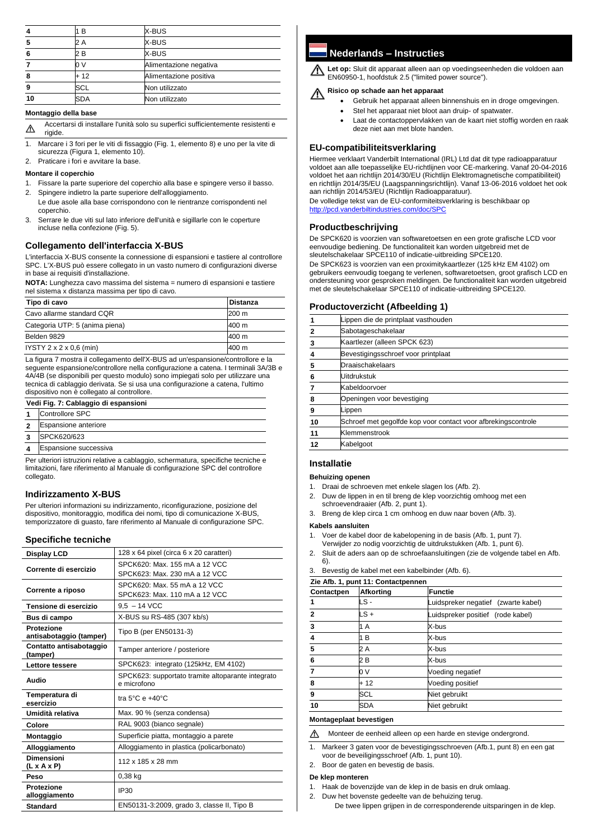|    | B    | X-BUS                  |
|----|------|------------------------|
| 5  | 2 A  | X-BUS                  |
| 6  | 2 B  | X-BUS                  |
|    | 0 V  | Alimentazione negativa |
| 8  | + 12 | Alimentazione positiva |
| 9  | SCL  | Non utilizzato         |
| 10 | SDA  | Non utilizzato         |

#### **Montaggio della base**

Accertarsi di installare l'unità solo su superfici sufficientemente resistenti e  $\Delta$ rigide.

1. Marcare i 3 fori per le viti di fissaggio (Fig. 1, elemento 8) e uno per la vite di sicurezza (Figura 1, elemento 10).

2. Praticare i fori e avvitare la base.

#### **Montare il coperchio**

- 1. Fissare la parte superiore del coperchio alla base e spingere verso il basso.
- 2. Spingere indietro la parte superiore dell'alloggiamento. Le due asole alla base corrispondono con le rientranze corrispondenti nel coperchio.
- 3. Serrare le due viti sul lato inferiore dell'unità e sigillarle con le coperture incluse nella confezione (Fig. 5).

# **Collegamento dell'interfaccia X-BUS**

L'interfaccia X-BUS consente la connessione di espansioni e tastiere al controllore SPC. L'X-BUS può essere collegato in un vasto numero di configurazioni diverse in base ai requisiti d'installazione.

**NOTA:** Lunghezza cavo massima del sistema = numero di espansioni e tastiere nel sistema x distanza massima per tipo di cavo.

| Tipo di cavo                        | <b>Distanza</b> |
|-------------------------------------|-----------------|
| Cavo allarme standard CQR           | 200 m           |
| Categoria UTP: 5 (anima piena)      | 400 m           |
| Belden 9829                         | 400 m           |
| IYSTY $2 \times 2 \times 0.6$ (min) | 1400 m          |

La figura 7 mostra il collegamento dell'X-BUS ad un'espansione/controllore e la seguente espansione/controllore nella configurazione a catena. I terminali 3A/3B e 4A/4B (se disponibili per questo modulo) sono impiegati solo per utilizzare una tecnica di cablaggio derivata. Se si usa una configurazione a catena, l'ultimo dispositivo non è collegato al controllore.

#### **Vedi Fig. 7: Cablaggio di espansioni**

- **1** Controllore SPC
- **2** Espansione anteriore
- **3** SPCK620/623
- **4** Espansione successiva

Per ulteriori istruzioni relative a cablaggio, schermatura, specifiche tecniche e limitazioni, fare riferimento al Manuale di configurazione SPC del controllore collegato.

# **Indirizzamento X-BUS**

Per ulteriori informazioni su indirizzamento, riconfigurazione, posizione del dispositivo, monitoraggio, modifica dei nomi, tipo di comunicazione X-BUS, temporizzatore di guasto, fare riferimento al Manuale di configurazione SPC.

#### **Specifiche tecniche**

| 128 x 64 pixel (circa 6 x 20 caratteri)                          |  |
|------------------------------------------------------------------|--|
| SPCK620: Max. 155 mA a 12 VCC                                    |  |
| SPCK623: Max. 230 mA a 12 VCC                                    |  |
| SPCK620: Max. 55 mA a 12 VCC                                     |  |
| SPCK623: Max, 110 mA a 12 VCC                                    |  |
| $9.5 - 14$ VCC                                                   |  |
| X-BUS su RS-485 (307 kb/s)                                       |  |
| Tipo B (per EN50131-3)                                           |  |
| Tamper anteriore / posteriore                                    |  |
| SPCK623: integrato (125kHz, EM 4102)                             |  |
| SPCK623: supportato tramite altoparante integrato<br>e microfono |  |
| tra 5 $\degree$ C e +40 $\degree$ C                              |  |
| Max. 90 % (senza condensa)                                       |  |
| RAL 9003 (bianco segnale)                                        |  |
| Superficie piatta, montaggio a parete                            |  |
| Alloggiamento in plastica (policarbonato)                        |  |
| 112 x 185 x 28 mm                                                |  |
| $0,38$ kg                                                        |  |
| <b>IP30</b>                                                      |  |
| EN50131-3:2009, grado 3, classe II, Tipo B                       |  |
|                                                                  |  |

**Nederlands – Instructies**

**Let op:** Sluit dit apparaat alleen aan op voedingseenheden die voldoen aan EN60950-1, hoofdstuk 2.5 ("limited power source").

#### **Risico op schade aan het apparaat**

- Gebruik het apparaat alleen binnenshuis en in droge omgevingen.
- Stel het apparaat niet bloot aan druip- of spatwater.
- Laat de contactoppervlakken van de kaart niet stoffig worden en raak deze niet aan met blote handen.

# **EU-compatibiliteitsverklaring**

Hiermee verklaart Vanderbilt International (IRL) Ltd dat dit type radioapparatuur voldoet aan alle toepasselijke EU-richtlijnen voor CE-markering. Vanaf 20-04-2016 voldoet het aan richtlijn 2014/30/EU (Richtlijn Elektromagnetische compatibiliteit) en richtlijn 2014/35/EU (Laagspanningsrichtlijn). Vanaf 13-06-2016 voldoet het ook aan richtlijn 2014/53/EU (Richtlijn Radioapparatuur).

De volledige tekst van de EU-conformiteitsverklaring is beschikbaar op <http://pcd.vanderbiltindustries.com/doc/SPC>

# **Productbeschrijving**

De SPCK620 is voorzien van softwaretoetsen en een grote grafische LCD voor eenvoudige bediening. De functionaliteit kan worden uitgebreid met de sleutelschakelaar SPCE110 of indicatie-uitbreiding SPCE120.

De SPCK623 is voorzien van een proximitykaartlezer (125 kHz EM 4102) om gebruikers eenvoudig toegang te verlenen, softwaretoetsen, groot grafisch LCD en ondersteuning voor gesproken meldingen. De functionaliteit kan worden uitgebreid met de sleutelschakelaar SPCE110 of indicatie-uitbreiding SPCE120.

# **Productoverzicht (Afbeelding 1)**

|    | Lippen die de printplaat vasthouden                           |
|----|---------------------------------------------------------------|
|    | Sabotageschakelaar                                            |
| 3  | Kaartlezer (alleen SPCK 623)                                  |
|    | Bevestigingsschroef voor printplaat                           |
| 5  | Draaischakelaars                                              |
| 6  | <b>Uitdrukstuk</b>                                            |
|    | Kabeldoorvoer                                                 |
| 8  | Openingen voor bevestiging                                    |
| 9  | Lippen                                                        |
| 10 | Schroef met gegolfde kop voor contact voor afbrekingscontrole |
|    | Klemmenstrook                                                 |
|    | Kabelgoot                                                     |
|    |                                                               |

## **Installatie**

#### **Behuizing openen**

- 1. Draai de schroeven met enkele slagen los (Afb. 2).
- 2. Duw de lippen in en til breng de klep voorzichtig omhoog met een schroevendraaier (Afb. 2, punt 1).
- 3. Breng de klep circa 1 cm omhoog en duw naar boven (Afb. 3).

#### **Kabels aansluiten**

- 1. Voer de kabel door de kabelopening in de basis (Afb. 1, punt 7). Verwijder zo nodig voorzichtig de uitdrukstukken (Afb. 1, punt 6).
- 2. Sluit de aders aan op de schroefaansluitingen (zie de volgende tabel en Afb. 6).
- 3. Bevestig de kabel met een kabelbinder (Afb. 6).

| Zie Afb. 1, punt 11: Contactpennen |                  |                                     |
|------------------------------------|------------------|-------------------------------------|
| Contactpen                         | <b>Afkorting</b> | <b>Functie</b>                      |
|                                    | LS -             | Luidspreker negatief (zwarte kabel) |
| 2                                  | LS +             | Luidspreker positief (rode kabel)   |
| 3                                  | 1 A              | X-bus                               |
| $\overline{\mathbf{A}}$            | B<br>1           | X-bus                               |
| 5                                  | 2 A              | X-bus                               |
| 6                                  | 2 B              | X-bus                               |
|                                    | 0 V              | Voeding negatief                    |
| 8                                  | $+12$            | Voeding positief                    |
| 9                                  | SCL              | Niet gebruikt                       |
| 10                                 | SDA              | Niet gebruikt                       |

#### **Montageplaat bevestigen**

- Monteer de eenheid alleen op een harde en stevige ondergrond.  $\triangle$
- 1. Markeer 3 gaten voor de bevestigingsschroeven (Afb.1, punt 8) en een gat voor de beveiligingsschroef (Afb. 1, punt 10).
- 2. Boor de gaten en bevestig de basis.

#### **De klep monteren**

- 1. Haak de bovenzijde van de klep in de basis en druk omlaag.
- 2. Duw het bovenste gedeelte van de behuizing terug.

De twee lippen grijpen in de corresponderende uitsparingen in de klep.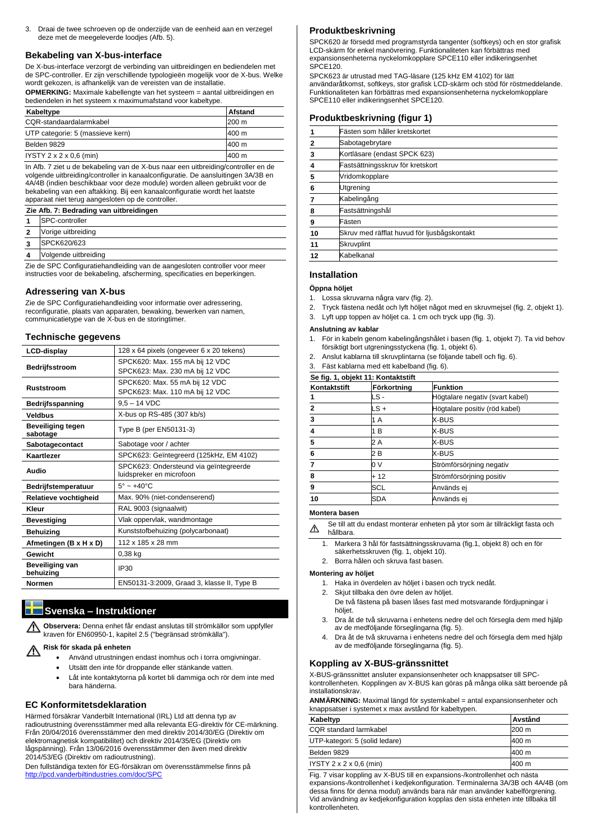3. Draai de twee schroeven op de onderzijde van de eenheid aan en verzegel deze met de meegeleverde loodjes (Afb. 5).

# **Bekabeling van X-bus-interface**

De X-bus-interface verzorgt de verbinding van uitbreidingen en bediendelen met de SPC-controller. Er zijn verschillende typologieën mogelijk voor de X-bus. Welke wordt gekozen, is afhankelijk van de vereisten van de installatie.

**OPMERKING:** Maximale kabellengte van het systeem = aantal uitbreidingen en bediendelen in het systeem x maximumafstand voor kabeltype.

| Kabeltype                           | <b>Afstand</b> |
|-------------------------------------|----------------|
| CQR-standaardalarmkabel             | 200 m          |
| UTP categorie: 5 (massieve kern)    | 400 m          |
| Belden 9829                         | 400 m          |
| IYSTY $2 \times 2 \times 0.6$ (min) | 400 m          |

In Afb. 7 ziet u de bekabeling van de X-bus naar een uitbreiding/controller en de volgende uitbreiding/controller in kanaalconfiguratie. De aansluitingen 3A/3B en 4A/4B (indien beschikbaar voor deze module) worden alleen gebruikt voor de bekabeling van een aftakking. Bij een kanaalconfiguratie wordt het laatste apparaat niet terug aangesloten op de controller.

|                         | Zie Afb. 7: Bedrading van uitbreidingen |  |  |
|-------------------------|-----------------------------------------|--|--|
|                         | <b>SPC-controller</b>                   |  |  |
| $\mathbf{2}$            | Vorige uitbreiding                      |  |  |
| $\overline{3}$          | SPCK620/623                             |  |  |
| $\overline{\mathbf{4}}$ | Volgende uitbreiding                    |  |  |

Zie de SPC Configuratiehandleiding van de aangesloten controller voor meer instructies voor de bekabeling, afscherming, specificaties en beperkingen.

#### **Risk för skada på enheten**  $\bigwedge$

# **Adressering van X-bus**

Zie de SPC Configuratiehandleiding voor informatie over adressering, reconfiguratie, plaats van apparaten, bewaking, bewerken van namen, communicatietype van de X-bus en de storingtimer.

# **Technische gegevens**

| <b>LCD-display</b>                   | 128 x 64 pixels (ongeveer 6 x 20 tekens)                           |  |
|--------------------------------------|--------------------------------------------------------------------|--|
| Bedrijfsstroom                       | SPCK620: Max. 155 mA bij 12 VDC<br>SPCK623: Max. 230 mA bij 12 VDC |  |
| <b>Ruststroom</b>                    | SPCK620: Max. 55 mA bij 12 VDC<br>SPCK623: Max. 110 mA bij 12 VDC  |  |
| <b>Bedrijfsspanning</b>              | $9,5 - 14$ VDC                                                     |  |
| <b>Veldbus</b>                       | X-bus op RS-485 (307 kb/s)                                         |  |
| <b>Beveiliging tegen</b><br>sabotage | Type B (per EN50131-3)                                             |  |
| Sabotagecontact                      | Sabotage voor / achter                                             |  |
| <b>Kaartlezer</b>                    | SPCK623: Geïntegreerd (125kHz, EM 4102)                            |  |
| Audio                                | SPCK623: Ondersteund via geïntegreerde<br>luidspreker en microfoon |  |
| Bedrijfstemperatuur                  | $5^\circ \sim +40^\circ C$                                         |  |
| Relatieve vochtigheid                | Max. 90% (niet-condenserend)                                       |  |
| Kleur                                | RAL 9003 (signaalwit)                                              |  |
| <b>Bevestiging</b>                   | Vlak oppervlak, wandmontage                                        |  |
| <b>Behuizing</b>                     | Kunststofbehuizing (polycarbonaat)                                 |  |
| Afmetingen (B x H x D)               | 112 x 185 x 28 mm                                                  |  |
| <b>Gewicht</b>                       | $0,38$ kg                                                          |  |
| <b>Beveiliging van</b><br>behuizing  | <b>IP30</b>                                                        |  |
| <b>Normen</b>                        | EN50131-3:2009, Graad 3, klasse II, Type B                         |  |

# **Svenska – Instruktioner**

**Observera:** Denna enhet får endast anslutas till strömkällor som uppfyller

kraven för EN60950-1, kapitel 2.5 ("begränsad strömkälla").

- Använd utrustningen endast inomhus och i torra omgivningar.
- Utsätt den inte för droppande eller stänkande vatten.
- Låt inte kontaktytorna på kortet bli dammiga och rör dem inte med bara händerna.

# **EC Konformitetsdeklaration**

Härmed försäkrar Vanderbilt International (IRL) Ltd att denna typ av radioutrustning överensstämmer med alla relevanta EG-direktiv för CE-märkning. Från 20/04/2016 överensstämmer den med direktiv 2014/30/EG (Direktiv om elektromagnetisk kompatibilitet) och direktiv 2014/35/EG (Direktiv om lågspänning). Från 13/06/2016 överensstämmer den även med direktiv 2014/53/EG (Direktiv om radioutrustning).

Den fullständiga texten för EG-försäkran om överensstämmelse finns på <http://pcd.vanderbiltindustries.com/doc/SPC>

# **Produktbeskrivning**

SPCK620 är försedd med programstyrda tangenter (softkeys) och en stor grafisk LCD-skärm för enkel manövrering. Funktionaliteten kan förbättras med expansionsenheterna nyckelomkopplare SPCE110 eller indikeringsenhet SPCE120.

SPCK623 är utrustad med TAG-läsare (125 kHz EM 4102) för lätt användaråtkomst, softkeys, stor grafisk LCD-skärm och stöd för röstmeddelande. Funktionaliteten kan förbättras med expansionsenheterna nyckelomkopplare SPCE110 eller indikeringsenhet SPCE120.

# **Produktbeskrivning (figur 1)**

|              | Fästen som håller kretskortet               |  |
|--------------|---------------------------------------------|--|
| $\mathbf{2}$ | Sabotagebrytare                             |  |
| 3            | Kortläsare (endast SPCK 623)                |  |
| 4            | Fastsättningsskruv för kretskort            |  |
| 5            | Vridomkopplare                              |  |
| 6            | Utgrening                                   |  |
|              | Kabelingång                                 |  |
| 8            | Fastsättningshål                            |  |
| 9            | Fästen                                      |  |
| 10           | Skruv med räfflat huvud för ljusbågskontakt |  |
| 11           | Skruvplint                                  |  |
| 12           | Kabelkanal                                  |  |
|              |                                             |  |

# **Installation**

# **Öppna höljet**

- 1. Lossa skruvarna några varv (fig. 2).
- 2. Tryck fästena nedåt och lyft höljet något med en skruvmejsel (fig. 2, objekt 1).
- 3. Lyft upp toppen av höljet ca. 1 cm och tryck upp (fig. 3).

## **Anslutning av kablar**

- 1. För in kabeln genom kabelingångshålet i basen (fig. 1, objekt 7). Ta vid behov försiktigt bort utgreningsstyckena (fig. 1, objekt 6).
- 2. Anslut kablarna till skruvplintarna (se följande tabell och fig. 6).
- 3. Fäst kablarna med ett kabelband (fig. 6).

| Se fig. 1, objekt 11: Kontaktstift |             |                                 |  |  |
|------------------------------------|-------------|---------------------------------|--|--|
| Kontaktstift                       | Förkortning | <b>Funktion</b>                 |  |  |
|                                    | LS -        | Högtalare negativ (svart kabel) |  |  |
| $\mathbf{2}$                       | LS +        | Högtalare positiv (röd kabel)   |  |  |
| 3                                  | 1 A         | X-BUS                           |  |  |
| 4                                  | 1 B         | X-BUS                           |  |  |
| 5                                  | 2 A         | X-BUS                           |  |  |
| 6                                  | 2 B         | X-BUS                           |  |  |
|                                    | 0 V         | Strömförsörjning negativ        |  |  |
| 8                                  | + 12        | Strömförsörjning positiv        |  |  |
| 9                                  | SCL         | Används ej                      |  |  |
| 10                                 | SDA         | Används ej                      |  |  |

#### **Montera basen**

Se till att du endast monterar enheten på ytor som är tillräckligt fasta och ⚠ hållbara.

- 1. Markera 3 hål för fastsättningsskruvarna (fig.1, objekt 8) och en för säkerhetsskruven (fig. 1, objekt 10).
- 2. Borra hålen och skruva fast basen.

#### **Montering av höljet**

- 1. Haka in överdelen av höljet i basen och tryck nedåt.
- 2. Skjut tillbaka den övre delen av höljet. De två fästena på basen låses fast med motsvarande fördjupningar i
- höljet. 3. Dra åt de två skruvarna i enhetens nedre del och försegla dem med hjälp av de medföljande förseglingarna (fig. 5).

4. Dra åt de två skruvarna i enhetens nedre del och försegla dem med hjälp av de medföljande förseglingarna (fig. 5).

# **Koppling av X-BUS-gränssnittet**

X-BUS-gränssnittet ansluter expansionsenheter och knappsatser till SPCkontrollenheten. Kopplingen av X-BUS kan göras på många olika sätt beroende på installationskrav.

**ANMÄRKNING:** Maximal längd för systemkabel = antal expansionsenheter och knappsatser i systemet x max avstånd för kabeltypen.

| Kabeltyp                            | Avstånd |
|-------------------------------------|---------|
| <b>CQR</b> standard larmkabel       | 200 m   |
| UTP-kategori: 5 (solid ledare)      | 400 m   |
| Belden 9829                         | 1400 m  |
| IYSTY $2 \times 2 \times 0.6$ (min) | 1400 m  |

Fig. 7 visar koppling av X-BUS till en expansions-/kontrollenhet och nästa expansions-/kontrollenhet i kedjekonfiguration. Terminalerna 3A/3B och 4A/4B (om dessa finns för denna modul) används bara när man använder kabelförgrening. Vid användning av kedjekonfiguration kopplas den sista enheten inte tillbaka till kontrollenheten.